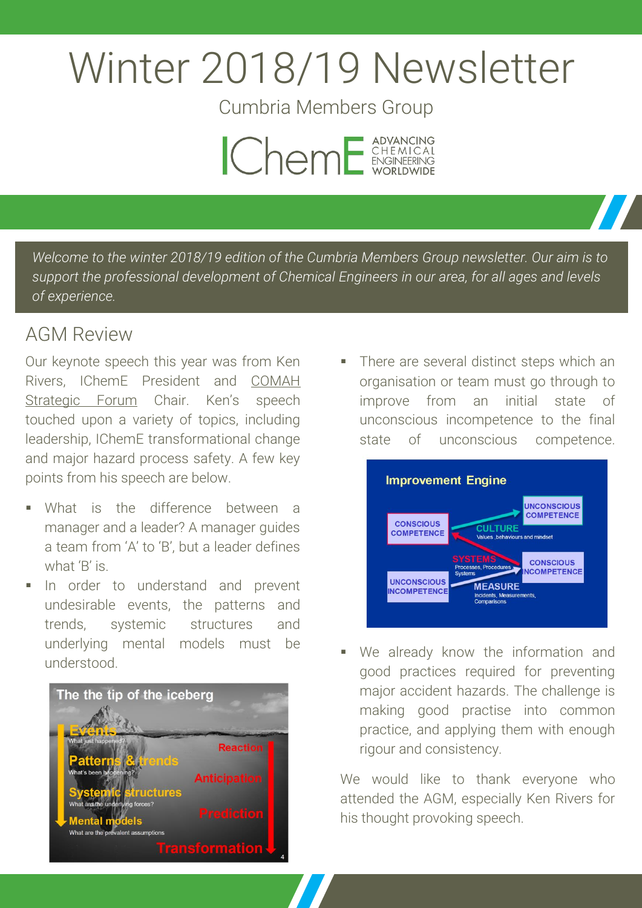# Winter 2018/19 Newsletter

Cumbria Members Group



*Welcome to the winter 2018/19 edition of the Cumbria Members Group newsletter. Our aim is to support the professional development of Chemical Engineers in our area, for all ages and levels of experience.*

# **AGM Review**

Our keynote speech this year was from Ken Rivers, IChemE President and [COMAH](https://webcommunities.hse.gov.uk/connect.ti/COMAHSF/groupHome)  [Strategic Forum](https://webcommunities.hse.gov.uk/connect.ti/COMAHSF/groupHome) Chair. Ken's speech touched upon a variety of topics, including leadership, IChemE transformational change and major hazard process safety. A few key points from his speech are below.

- What is the difference between a manager and a leader? A manager guides a team from 'A' to 'B', but a leader defines what 'B' is.
- In order to understand and prevent undesirable events, the patterns and trends, systemic structures and underlying mental models must be understood.



 There are several distinct steps which an organisation or team must go through to improve from an initial state of unconscious incompetence to the final state of unconscious competence.



 We already know the information and good practices required for preventing major accident hazards. The challenge is making good practise into common practice, and applying them with enough rigour and consistency.

We would like to thank everyone who attended the AGM, especially Ken Rivers for his thought provoking speech.